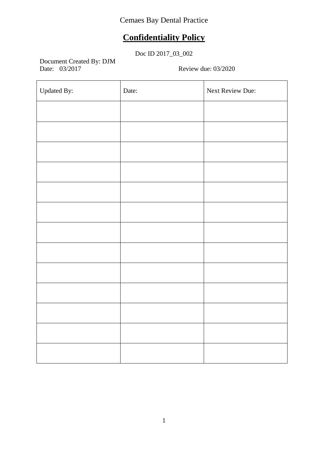# Cemaes Bay Dental Practice

# **Confidentiality Policy**

Doc ID 2017\_03\_002

Document Created By: DJM<br>Date: 03/2017

Review due: 03/2020

| Updated By: | Date: | Next Review Due: |
|-------------|-------|------------------|
|             |       |                  |
|             |       |                  |
|             |       |                  |
|             |       |                  |
|             |       |                  |
|             |       |                  |
|             |       |                  |
|             |       |                  |
|             |       |                  |
|             |       |                  |
|             |       |                  |
|             |       |                  |
|             |       |                  |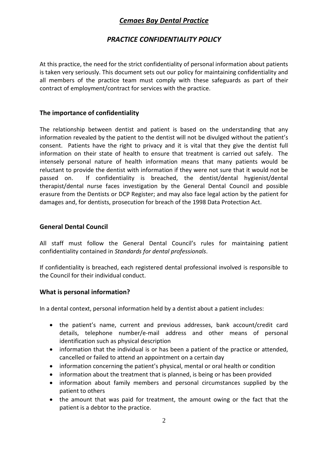# *Cemaes Bay Dental Practice*

## *PRACTICE CONFIDENTIALITY POLICY*

At this practice, the need for the strict confidentiality of personal information about patients is taken very seriously. This document sets out our policy for maintaining confidentiality and all members of the practice team must comply with these safeguards as part of their contract of employment/contract for services with the practice.

#### **The importance of confidentiality**

The relationship between dentist and patient is based on the understanding that any information revealed by the patient to the dentist will not be divulged without the patient's consent. Patients have the right to privacy and it is vital that they give the dentist full information on their state of health to ensure that treatment is carried out safely. The intensely personal nature of health information means that many patients would be reluctant to provide the dentist with information if they were not sure that it would not be passed on. If confidentiality is breached, the dentist/dental hygienist/dental therapist/dental nurse faces investigation by the General Dental Council and possible erasure from the Dentists or DCP Register; and may also face legal action by the patient for damages and, for dentists, prosecution for breach of the 1998 Data Protection Act.

#### **General Dental Council**

All staff must follow the General Dental Council's rules for maintaining patient confidentiality contained in *Standards for dental professionals*.

If confidentiality is breached, each registered dental professional involved is responsible to the Council for their individual conduct.

#### **What is personal information?**

In a dental context, personal information held by a dentist about a patient includes:

- the patient's name, current and previous addresses, bank account/credit card details, telephone number/e-mail address and other means of personal identification such as physical description
- information that the individual is or has been a patient of the practice or attended, cancelled or failed to attend an appointment on a certain day
- information concerning the patient's physical, mental or oral health or condition
- information about the treatment that is planned, is being or has been provided
- information about family members and personal circumstances supplied by the patient to others
- the amount that was paid for treatment, the amount owing or the fact that the patient is a debtor to the practice.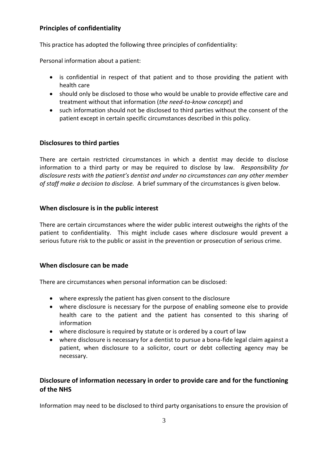# **Principles of confidentiality**

This practice has adopted the following three principles of confidentiality:

Personal information about a patient:

- is confidential in respect of that patient and to those providing the patient with health care
- should only be disclosed to those who would be unable to provide effective care and treatment without that information (*the need-to-know concept*) and
- such information should not be disclosed to third parties without the consent of the patient except in certain specific circumstances described in this policy.

## **Disclosures to third parties**

There are certain restricted circumstances in which a dentist may decide to disclose information to a third party or may be required to disclose by law. *Responsibility for disclosure rests with the patient's dentist and under no circumstances can any other member of staff make a decision to disclose.* A brief summary of the circumstances is given below.

#### **When disclosure is in the public interest**

There are certain circumstances where the wider public interest outweighs the rights of the patient to confidentiality. This might include cases where disclosure would prevent a serious future risk to the public or assist in the prevention or prosecution of serious crime.

#### **When disclosure can be made**

There are circumstances when personal information can be disclosed:

- where expressly the patient has given consent to the disclosure
- where disclosure is necessary for the purpose of enabling someone else to provide health care to the patient and the patient has consented to this sharing of information
- where disclosure is required by statute or is ordered by a court of law
- where disclosure is necessary for a dentist to pursue a bona-fide legal claim against a patient, when disclosure to a solicitor, court or debt collecting agency may be necessary.

# **Disclosure of information necessary in order to provide care and for the functioning of the NHS**

Information may need to be disclosed to third party organisations to ensure the provision of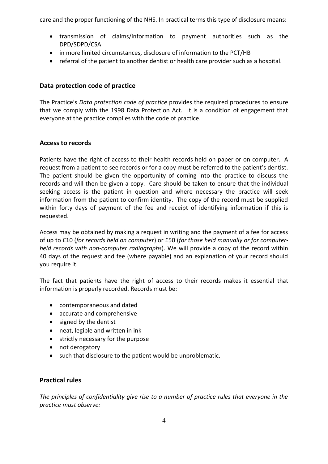care and the proper functioning of the NHS. In practical terms this type of disclosure means:

- transmission of claims/information to payment authorities such as the DPD/SDPD/CSA
- in more limited circumstances, disclosure of information to the PCT/HB
- referral of the patient to another dentist or health care provider such as a hospital.

## **Data protection code of practice**

The Practice's *Data protection code of practice* provides the required procedures to ensure that we comply with the 1998 Data Protection Act. It is a condition of engagement that everyone at the practice complies with the code of practice.

#### **Access to records**

Patients have the right of access to their health records held on paper or on computer. A request from a patient to see records or for a copy must be referred to the patient's dentist. The patient should be given the opportunity of coming into the practice to discuss the records and will then be given a copy. Care should be taken to ensure that the individual seeking access is the patient in question and where necessary the practice will seek information from the patient to confirm identity. The copy of the record must be supplied within forty days of payment of the fee and receipt of identifying information if this is requested.

Access may be obtained by making a request in writing and the payment of a fee for access of up to £10 (*for records held on computer*) or £50 (*for those held manually or for computerheld records with non-computer radiographs*). We will provide a copy of the record within 40 days of the request and fee (where payable) and an explanation of your record should you require it.

The fact that patients have the right of access to their records makes it essential that information is properly recorded. Records must be:

- contemporaneous and dated
- accurate and comprehensive
- signed by the dentist
- neat, legible and written in ink
- strictly necessary for the purpose
- not derogatory
- such that disclosure to the patient would be unproblematic.

#### **Practical rules**

*The principles of confidentiality give rise to a number of practice rules that everyone in the practice must observe:*